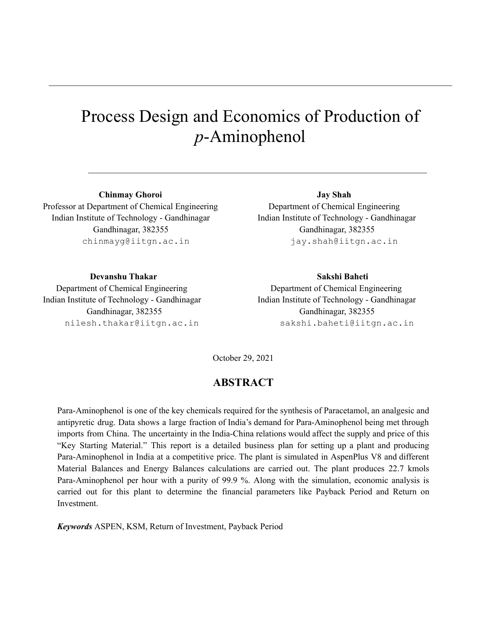# Process Design and Economics of Production of *p*-Aminophenol

Professor at Department of Chemical Engineering Department of Chemical Engineering Indian Institute of Technology - Gandhinagar Indian Institute of Technology - Gandhinagar Gandhinagar, 382355 Gandhinagar, 382355

**Chinmay Ghoroi Jay Shah** chinmayg@iitgn.ac.in jay.shah@iitgn.ac.in

# **Devanshu Thakar Sakshi Baheti**

Department of Chemical Engineering Department of Chemical Engineering Indian Institute of Technology - Gandhinagar Indian Institute of Technology - Gandhinagar Gandhinagar, 382355 Gandhinagar, 382355 nilesh.thakar@iitgn.ac.in sakshi.baheti@iitgn.ac.in

October 29, 2021

# **ABSTRACT**

Para-Aminophenol is one of the key chemicals required for the synthesis of Paracetamol, an analgesic and antipyretic drug. Data shows a large fraction of India's demand for Para-Aminophenol being met through imports from China. The uncertainty in the India-China relations would affect the supply and price of this "Key Starting Material." This report is a detailed business plan for setting up a plant and producing Para-Aminophenol in India at a competitive price. The plant is simulated in AspenPlus V8 and different Material Balances and Energy Balances calculations are carried out. The plant produces 22.7 kmols Para-Aminophenol per hour with a purity of 99.9 %. Along with the simulation, economic analysis is carried out for this plant to determine the financial parameters like Payback Period and Return on Investment.

*Keywords* ASPEN, KSM, Return of Investment, Payback Period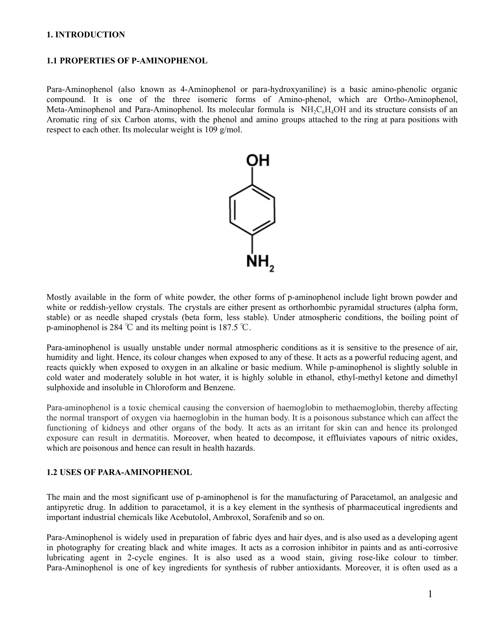### **1. INTRODUCTION**

### **1.1 PROPERTIES OF P-AMINOPHENOL**

Para-Aminophenol (also known as 4-Aminophenol or para-hydroxyaniline) is a basic amino-phenolic organic compound. It is one of the three isomeric forms of Amino-phenol, which are Ortho-Aminophenol, Meta-Aminophenol and Para-Aminophenol. Its molecular formula is  $\overline{NH_2C_6H_4OH}$  and its structure consists of an Aromatic ring of six Carbon atoms, with the phenol and amino groups attached to the ring at para positions with respect to each other. Its molecular weight is 109 g/mol.



Mostly available in the form of white powder, the other forms of p-aminophenol include light brown powder and white or reddish-yellow crystals. The crystals are either present as orthorhombic pyramidal structures (alpha form, stable) or as needle shaped crystals (beta form, less stable). Under atmospheric conditions, the boiling point of p-aminophenol is 284 ℃ and its melting point is 187.5 ℃.

Para-aminophenol is usually unstable under normal atmospheric conditions as it is sensitive to the presence of air, humidity and light. Hence, its colour changes when exposed to any of these. It acts as a powerful reducing agent, and reacts quickly when exposed to oxygen in an alkaline or basic medium. While p-aminophenol is slightly soluble in cold water and moderately soluble in hot water, it is highly soluble in ethanol, ethyl-methyl ketone and dimethyl sulphoxide and insoluble in Chloroform and Benzene.

Para-aminophenol is a toxic chemical causing the conversion of haemoglobin to methaemoglobin, thereby affecting the normal transport of oxygen via haemoglobin in the human body. It is a poisonous substance which can affect the functioning of kidneys and other organs of the body. It acts as an irritant for skin can and hence its prolonged exposure can result in dermatitis. Moreover, when heated to decompose, it effluiviates vapours of nitric oxides, which are poisonous and hence can result in health hazards.

### **1.2 USES OF PARA-AMINOPHENOL**

The main and the most significant use of p-aminophenol is for the manufacturing of Paracetamol, an analgesic and antipyretic drug. In addition to paracetamol, it is a key element in the synthesis of pharmaceutical ingredients and important industrial chemicals like Acebutolol, Ambroxol, Sorafenib and so on.

Para-Aminophenol is widely used in preparation of fabric dyes and hair dyes, and is also used as a developing agent in photography for creating black and white images. It acts as a corrosion inhibitor in paints and as anti-corrosive lubricating agent in 2-cycle engines. It is also used as a wood stain, giving rose-like colour to timber. Para-Aminophenol is one of key ingredients for synthesis of rubber antioxidants. Moreover, it is often used as a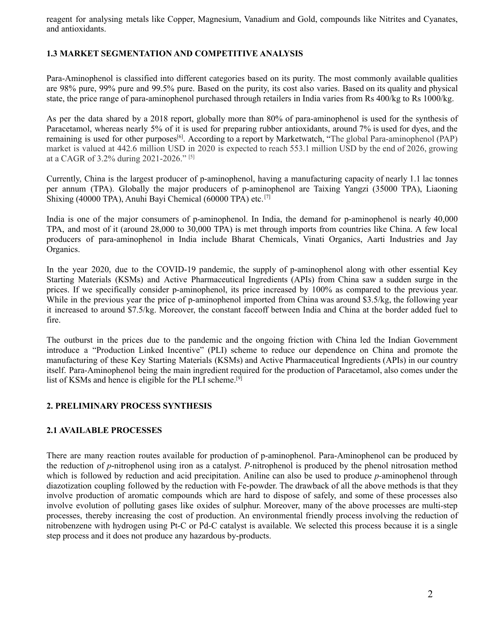reagent for analysing metals like Copper, Magnesium, Vanadium and Gold, compounds like Nitrites and Cyanates, and antioxidants.

# **1.3 MARKET SEGMENTATION AND COMPETITIVE ANALYSIS**

Para-Aminophenol is classified into different categories based on its purity. The most commonly available qualities are 98% pure, 99% pure and 99.5% pure. Based on the purity, its cost also varies. Based on its quality and physical state, the price range of para-aminophenol purchased through retailers in India varies from Rs 400/kg to Rs 1000/kg.

As per the data shared by a 2018 report, globally more than 80% of para-aminophenol is used for the synthesis of Paracetamol, whereas nearly 5% of it is used for preparing rubber antioxidants, around 7% is used for dyes, and the remaining is used for other purposes<sup>[6]</sup>. According to a report by Marketwatch, "The global Para-aminophenol (PAP) market is valued at 442.6 million USD in 2020 is expected to reach 553.1 million USD by the end of 2026, growing at a CAGR of 3.2% during 2021-2026." [5]

Currently, China is the largest producer of p-aminophenol, having a manufacturing capacity of nearly 1.1 lac tonnes per annum (TPA). Globally the major producers of p-aminophenol are Taixing Yangzi (35000 TPA), Liaoning Shixing (40000 TPA), Anuhi Bayi Chemical (60000 TPA) etc.<sup>[7]</sup>

India is one of the major consumers of p-aminophenol. In India, the demand for p-aminophenol is nearly 40,000 TPA, and most of it (around 28,000 to 30,000 TPA) is met through imports from countries like China. A few local producers of para-aminophenol in India include Bharat Chemicals, Vinati Organics, Aarti Industries and Jay Organics.

In the year 2020, due to the COVID-19 pandemic, the supply of p-aminophenol along with other essential Key Starting Materials (KSMs) and Active Pharmaceutical Ingredients (APIs) from China saw a sudden surge in the prices. If we specifically consider p-aminophenol, its price increased by 100% as compared to the previous year. While in the previous year the price of p-aminophenol imported from China was around \$3.5/kg, the following year it increased to around \$7.5/kg. Moreover, the constant faceoff between India and China at the border added fuel to fire.

The outburst in the prices due to the pandemic and the ongoing friction with China led the Indian Government introduce a "Production Linked Incentive" (PLI) scheme to reduce our dependence on China and promote the manufacturing of these Key Starting Materials (KSMs) and Active Pharmaceutical Ingredients (APIs) in our country itself. Para-Aminophenol being the main ingredient required for the production of Paracetamol, also comes under the list of KSMs and hence is eligible for the PLI scheme.<sup>[9]</sup>

# **2. PRELIMINARY PROCESS SYNTHESIS**

### **2.1 AVAILABLE PROCESSES**

There are many reaction routes available for production of p-aminophenol. Para-Aminophenol can be produced by the reduction of *p*-nitrophenol using iron as a catalyst. *P-*nitrophenol is produced by the phenol nitrosation method which is followed by reduction and acid precipitation. Aniline can also be used to produce *p-*aminophenol through diazotization coupling followed by the reduction with Fe-powder. The drawback of all the above methods is that they involve production of aromatic compounds which are hard to dispose of safely, and some of these processes also involve evolution of polluting gases like oxides of sulphur. Moreover, many of the above processes are multi-step processes, thereby increasing the cost of production. An environmental friendly process involving the reduction of nitrobenzene with hydrogen using Pt-C or Pd-C catalyst is available. We selected this process because it is a single step process and it does not produce any hazardous by-products.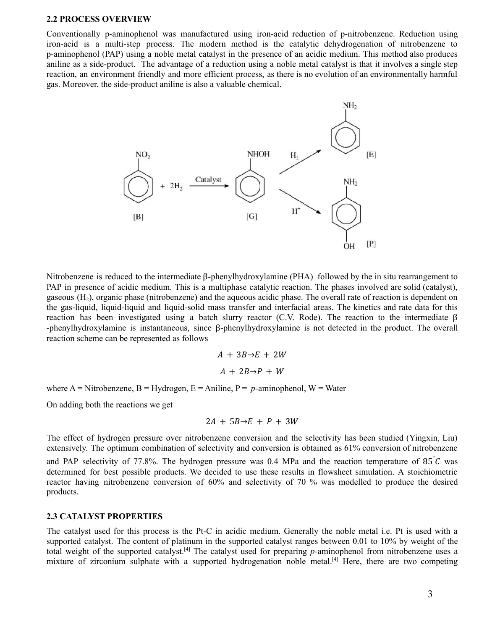#### **2.2 PROCESS OVERVIEW**

Conventionally p-aminophenol was manufactured using iron-acid reduction of p-nitrobenzene. Reduction using iron-acid is a multi-step process. The modern method is the catalytic dehydrogenation of nitrobenzene to p-aminophenol (PAP) using a noble metal catalyst in the presence of an acidic medium. This method also produces aniline as a side-product. The advantage of a reduction using a noble metal catalyst is that it involves a single step reaction, an environment friendly and more efficient process, as there is no evolution of an environmentally harmful gas. Moreover, the side-product aniline is also a valuable chemical.



Nitrobenzene is reduced to the intermediate β-phenylhydroxylamine (PHA) followed by the in situ rearrangement to PAP in presence of acidic medium. This is a multiphase catalytic reaction. The phases involved are solid (catalyst), gaseous  $(H<sub>2</sub>)$ , organic phase (nitrobenzene) and the aqueous acidic phase. The overall rate of reaction is dependent on the gas-liquid, liquid-liquid and liquid-solid mass transfer and interfacial areas. The kinetics and rate data for this reaction has been investigated using a batch slurry reactor (C.V. Rode). The reaction to the intermediate β -phenylhydroxylamine is instantaneous, since β-phenylhydroxylamine is not detected in the product. The overall reaction scheme can be represented as follows

$$
A + 3B \rightarrow E + 2W
$$

$$
A + 2B \rightarrow P + W
$$

where  $A =$  Nitrobenzene,  $B =$  Hydrogen,  $E =$  Aniline,  $P = p$ -aminophenol,  $W =$  Water

On adding both the reactions we get

$$
2A + 5B \rightarrow E + P + 3W
$$

The effect of hydrogen pressure over nitrobenzene conversion and the selectivity has been studied (Yingxin, Liu) extensively. The optimum combination of selectivity and conversion is obtained as 61% conversion of nitrobenzene and PAP selectivity of 77.8%. The hydrogen pressure was 0.4 MPa and the reaction temperature of  $85^{\circ}$ C was determined for best possible products. We decided to use these results in flowsheet simulation. A stoichiometric reactor having nitrobenzene conversion of 60% and selectivity of 70 % was modelled to produce the desired

#### **2.3 CATALYST PROPERTIES**

products.

The catalyst used for this process is the Pt-C in acidic medium. Generally the noble metal i.e. Pt is used with a supported catalyst. The content of platinum in the supported catalyst ranges between 0.01 to 10% by weight of the total weight of the supported catalyst. [4] The catalyst used for preparing *p-*aminophenol from nitrobenzene uses a mixture of zirconium sulphate with a supported hydrogenation noble metal.<sup>[4]</sup> Here, there are two competing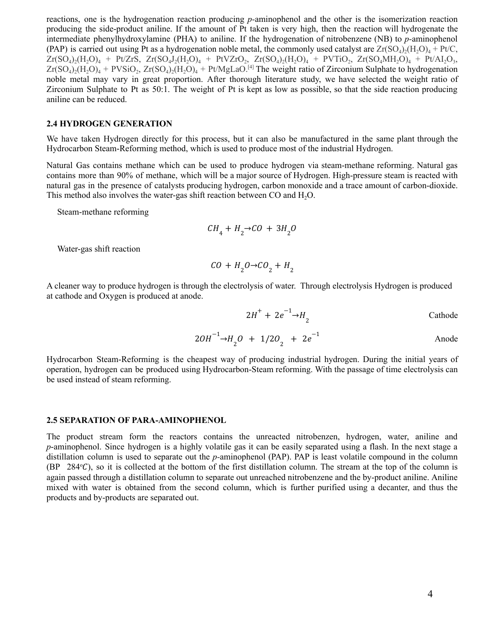reactions, one is the hydrogenation reaction producing *p-*aminophenol and the other is the isomerization reaction producing the side-product aniline. If the amount of Pt taken is very high, then the reaction will hydrogenate the intermediate phenylhydroxylamine (PHA) to aniline. If the hydrogenation of nitrobenzene (NB) to *p-*aminophenol (PAP) is carried out using Pt as a hydrogenation noble metal, the commonly used catalyst are  $Zr(SO_4)_{2}(H_2O)_4 + Pt/C$ ,  $Zr(SO_4)_2(H_2O)_4$  + Pt/ZrS,  $Zr(SO_4J_2(H_2O)_4$  + PtVZrO<sub>2</sub>,  $Zr(SO_4)_2(H_2O)_4$  + PVTiO<sub>2</sub>,  $Zr(SO_4MH_2O)_4$  + Pt/AI<sub>2</sub>O<sub>3</sub>,  $Zr(SO_4)_2(H_2O)_4$  + PVSiO<sub>2</sub>,  $Zr(SO_4)_2(H_2O)_4$  + Pt/MgLaO.<sup>[4]</sup> The weight ratio of Zirconium Sulphate to hydrogenation noble metal may vary in great proportion. After thorough literature study, we have selected the weight ratio of Zirconium Sulphate to Pt as 50:1. The weight of Pt is kept as low as possible, so that the side reaction producing aniline can be reduced.

### **2.4 HYDROGEN GENERATION**

We have taken Hydrogen directly for this process, but it can also be manufactured in the same plant through the Hydrocarbon Steam-Reforming method, which is used to produce most of the industrial Hydrogen.

Natural Gas contains methane which can be used to produce hydrogen via steam-methane reforming. Natural gas contains more than 90% of methane, which will be a major source of Hydrogen. High-pressure steam is reacted with natural gas in the presence of catalysts producing hydrogen, carbon monoxide and a trace amount of carbon-dioxide. This method also involves the water-gas shift reaction between  $CO$  and  $H<sub>2</sub>O$ .

Steam-methane reforming

$$
CH_4 + H_2 \rightarrow CO + 3H_2O
$$

Water-gas shift reaction

$$
CO + H_2O \rightarrow CO_2 + H_2
$$

A cleaner way to produce hydrogen is through the electrolysis of water. Through electrolysis Hydrogen is produced at cathode and Oxygen is produced at anode.

$$
2H^{+} + 2e^{-1} \rightarrow H_{2}
$$
 Cathode

$$
2OH^{-1} \rightarrow H_2O + 1/2O_2 + 2e^{-1}
$$

Hydrocarbon Steam-Reforming is the cheapest way of producing industrial hydrogen. During the initial years of operation, hydrogen can be produced using Hydrocarbon-Steam reforming. With the passage of time electrolysis can be used instead of steam reforming.

#### **2.5 SEPARATION OF PARA-AMINOPHENOL**

The product stream form the reactors contains the unreacted nitrobenzen, hydrogen, water, aniline and *p*-aminophenol. Since hydrogen is a highly volatile gas it can be easily separated using a flash. In the next stage a distillation column is used to separate out the *p-*aminophenol (PAP). PAP is least volatile compound in the column  $(BP 284^{\circ}C)$ , so it is collected at the bottom of the first distillation column. The stream at the top of the column is again passed through a distillation column to separate out unreached nitrobenzene and the by-product aniline. Aniline mixed with water is obtained from the second column, which is further purified using a decanter, and thus the products and by-products are separated out.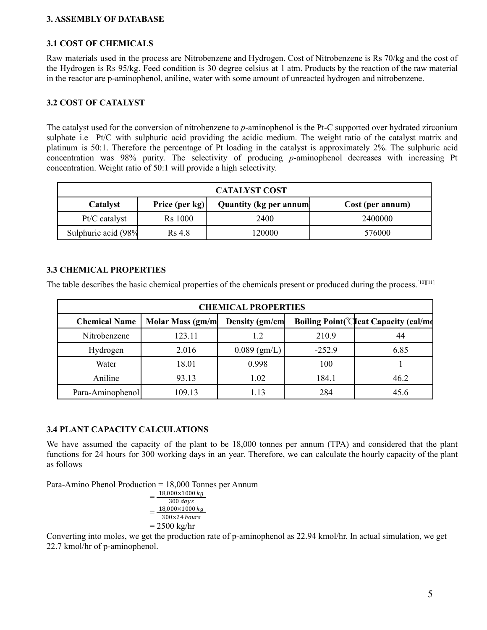### **3. ASSEMBLY OF DATABASE**

### **3.1 COST OF CHEMICALS**

Raw materials used in the process are Nitrobenzene and Hydrogen. Cost of Nitrobenzene is Rs 70/kg and the cost of the Hydrogen is Rs 95/kg. Feed condition is 30 degree celsius at 1 atm. Products by the reaction of the raw material in the reactor are p-aminophenol, aniline, water with some amount of unreacted hydrogen and nitrobenzene.

### **3.2 COST OF CATALYST**

The catalyst used for the conversion of nitrobenzene to *p*-aminophenol is the Pt-C supported over hydrated zirconium sulphate i.e Pt/C with sulphuric acid providing the acidic medium. The weight ratio of the catalyst matrix and platinum is 50:1. Therefore the percentage of Pt loading in the catalyst is approximately 2%. The sulphuric acid concentration was 98% purity. The selectivity of producing *p*-aminophenol decreases with increasing Pt concentration. Weight ratio of 50:1 will provide a high selectivity.

| <b>CATALYST COST</b> |                     |                                |                  |  |  |  |  |
|----------------------|---------------------|--------------------------------|------------------|--|--|--|--|
| Catalyst             | Price (per kg)      | <b>Quantity (kg per annum)</b> | Cost (per annum) |  |  |  |  |
| Pt/C catalyst        | R <sub>s</sub> 1000 | 2400                           | 2400000          |  |  |  |  |
| Sulphuric acid (98%  | R <sub>s</sub> 4.8  | 120000                         | 576000           |  |  |  |  |

### **3.3 CHEMICAL PROPERTIES**

The table describes the basic chemical properties of the chemicals present or produced during the process.<sup>[10][11]</sup>

| <b>CHEMICAL PROPERTIES</b> |                         |                |          |                                              |  |  |  |  |
|----------------------------|-------------------------|----------------|----------|----------------------------------------------|--|--|--|--|
| <b>Chemical Name</b>       | <b>Molar Mass (gm/m</b> | Density (gm/cm |          | <b>Boiling Point(°Cleat Capacity (cal/md</b> |  |  |  |  |
| Nitrobenzene               | 123.11                  | 1.2            | 210.9    | 44                                           |  |  |  |  |
| Hydrogen                   | 2.016                   | $0.089$ (gm/L) | $-252.9$ | 6.85                                         |  |  |  |  |
| Water                      | 18.01                   | 0.998          | 100      |                                              |  |  |  |  |
| Aniline                    | 93.13                   | 1.02           | 184.1    | 46.2                                         |  |  |  |  |
| Para-Aminophenol           | 109.13                  | .13            | 284      | 45.6                                         |  |  |  |  |

# **3.4 PLANT CAPACITY CALCULATIONS**

We have assumed the capacity of the plant to be 18,000 tonnes per annum (TPA) and considered that the plant functions for 24 hours for 300 working days in an year. Therefore, we can calculate the hourly capacity of the plant as follows

Para-Amino Phenol Production = 18,000 Tonnes per Annum

$$
= \frac{18,000 \times 1000 kg}{300 days}
$$
  
= 
$$
\frac{18,000 \times 1000 kg}{300 \times 24 hours}
$$
  
= 2500 kg/hr

Converting into moles, we get the production rate of p-aminophenol as 22.94 kmol/hr. In actual simulation, we get 22.7 kmol/hr of p-aminophenol.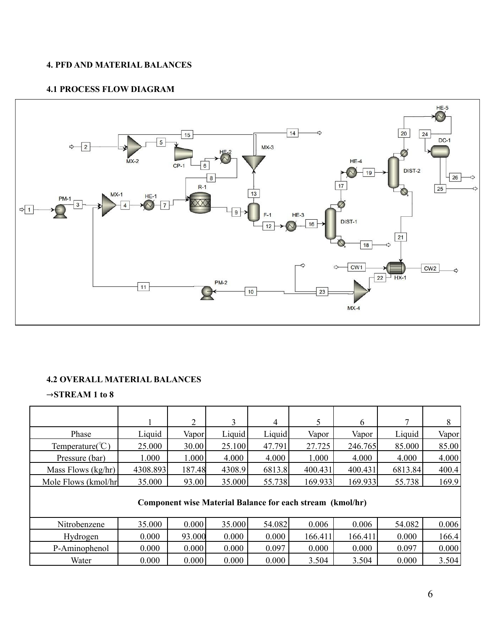# **4. PFD AND MATERIAL BALANCES**

# **4.1 PROCESS FLOW DIAGRAM**



### **4.2 OVERALL MATERIAL BALANCES**

# →**STREAM 1 to 8**

|                                                           |          | $\overline{2}$ | 3      | $\overline{4}$ | 5       | 6       | 7       | 8     |  |
|-----------------------------------------------------------|----------|----------------|--------|----------------|---------|---------|---------|-------|--|
| Phase                                                     | Liquid   | Vapor          | Liquid | Liquid         | Vapor   | Vapor   | Liquid  | Vapor |  |
| Temperature( ${}^{\circ}\text{C}$ )                       | 25.000   | 30.00          | 25.100 | 47.791         | 27.725  | 246.765 | 85.000  | 85.00 |  |
| Pressure (bar)                                            | 1.000    | 1.000          | 4.000  | 4.000          | 1.000   | 4.000   | 4.000   | 4.000 |  |
| Mass Flows (kg/hr)                                        | 4308.893 | 187.48         | 4308.9 | 6813.8         | 400.431 | 400.431 | 6813.84 | 400.4 |  |
| Mole Flows (kmol/hr                                       | 35.000   | 93.00          | 35.000 | 55.738         | 169.933 | 169.933 | 55.738  | 169.9 |  |
| Component wise Material Balance for each stream (kmol/hr) |          |                |        |                |         |         |         |       |  |
| Nitrobenzene                                              | 35.000   | 0.000          | 35.000 | 54.082         | 0.006   | 0.006   | 54.082  | 0.006 |  |
| Hydrogen                                                  | 0.000    | 93.000         | 0.000  | 0.000          | 166.411 | 166.411 | 0.000   | 166.4 |  |
| P-Aminophenol                                             | 0.000    | 0.000          | 0.000  | 0.097          | 0.000   | 0.000   | 0.097   | 0.000 |  |
| Water                                                     | 0.000    | 0.000          | 0.000  | 0.000          | 3.504   | 3.504   | 0.000   | 3.504 |  |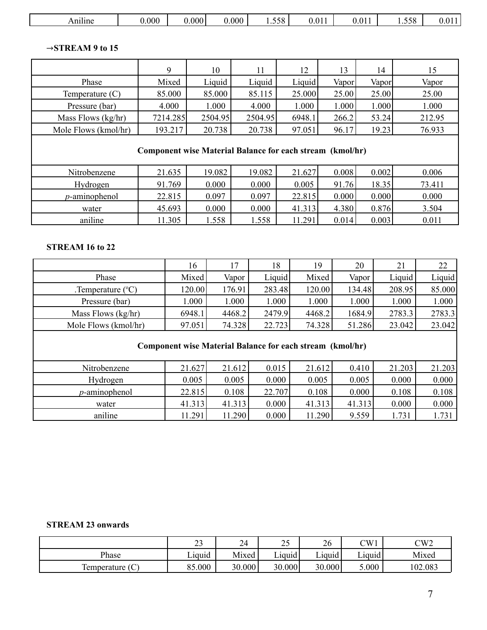| $\cdot$ .<br>n11222<br>$\mathbf{m}$ | .000 | 000 | .000<br>0 | $- - -$<br>$\cdot$ | $\sim$ $\sim$<br>0.01 | 0.011 | $- - -$<br>1.228 |  |
|-------------------------------------|------|-----|-----------|--------------------|-----------------------|-------|------------------|--|
|                                     |      |     |           |                    |                       |       |                  |  |

# →**STREAM 9 to 15**

|                                                           | 9        | 10      | 11      | 12     | 13    | 14    | 15     |  |  |
|-----------------------------------------------------------|----------|---------|---------|--------|-------|-------|--------|--|--|
| Phase                                                     | Mixed    | Liquid  | Liquid  | Liquid | Vapor | Vapor | Vapor  |  |  |
| Temperature $(C)$                                         | 85.000   | 85.000  | 85.115  | 25.000 | 25.00 | 25.00 | 25.00  |  |  |
| Pressure (bar)                                            | 4.000    | 1.000   | 4.000   | 1.000  | 1.000 | 1.000 | 1.000  |  |  |
| Mass Flows (kg/hr)                                        | 7214.285 | 2504.95 | 2504.95 | 6948.1 | 266.2 | 53.24 | 212.95 |  |  |
| Mole Flows (kmol/hr)                                      | 193.217  | 20.738  | 20.738  | 97.051 | 96.17 | 19.23 | 76.933 |  |  |
| Component wise Material Balance for each stream (kmol/hr) |          |         |         |        |       |       |        |  |  |
| Nitrobenzene                                              | 21.635   | 19.082  | 19.082  | 21.627 | 0.008 | 0.002 | 0.006  |  |  |
| Hydrogen                                                  | 91.769   | 0.000   | 0.000   | 0.005  | 91.76 | 18.35 | 73.411 |  |  |
| $p$ -aminophenol                                          | 22.815   | 0.097   | 0.097   | 22.815 | 0.000 | 0.000 | 0.000  |  |  |
| water                                                     | 45.693   | 0.000   | 0.000   | 41.313 | 4.380 | 0.876 | 3.504  |  |  |
| aniline                                                   | 11.305   | 1.558   | 1.558   | 11.291 | 0.014 | 0.003 | 0.011  |  |  |

# **STREAM 16 to 22**

|                             | 16                                                        | 17     | 18     | 19     | 20     | 21     | 22     |  |  |
|-----------------------------|-----------------------------------------------------------|--------|--------|--------|--------|--------|--------|--|--|
| Phase                       | Mixed                                                     | Vapor  | Liquid | Mixed  | Vapor  | Liquid | Liquid |  |  |
| . Temperature $(^{\circ}C)$ | 120.00                                                    | 176.91 | 283.48 | 120.00 | 134.48 | 208.95 | 85.000 |  |  |
| Pressure (bar)              | 1.000                                                     | 1.000  | 1.000  | 1.000  | 1.000  | 1.000  | 1.000  |  |  |
| Mass Flows (kg/hr)          | 6948.1                                                    | 4468.2 | 2479.9 | 4468.2 | 1684.9 | 2783.3 | 2783.3 |  |  |
| Mole Flows (kmol/hr)        | 97.051                                                    | 74.328 | 22.723 | 74.328 | 51.286 | 23.042 | 23.042 |  |  |
|                             | Component wise Material Balance for each stream (kmol/hr) |        |        |        |        |        |        |  |  |
| Nitrobenzene                | 21.627                                                    | 21.612 | 0.015  | 21.612 | 0.410  | 21.203 | 21.203 |  |  |
| Hydrogen                    | 0.005                                                     | 0.005  | 0.000  | 0.005  | 0.005  | 0.000  | 0.000  |  |  |
| $p$ -aminophenol            | 22.815                                                    | 0.108  | 22.707 | 0.108  | 0.000  | 0.108  | 0.108  |  |  |
| water                       | 41.313                                                    | 41.313 | 0.000  | 41.313 | 41.313 | 0.000  | 0.000  |  |  |
| aniline                     | 11.291                                                    | 11.290 | 0.000  | 11.290 | 9.559  | 1.731  | 1.731  |  |  |

# **STREAM 23 onwards**

|                             | $\sim$<br>ر_              | 24     | ጎፍ<br>ں ک | 26                                               | $\sqrt{\rm W1}$<br>VV 1 | ${\rm CW2}$ |
|-----------------------------|---------------------------|--------|-----------|--------------------------------------------------|-------------------------|-------------|
| Phase                       | $\cdot$ $\cdot$<br>Liquid | Mixed  | Liquid    | $\cdot$ $\cdot$<br>$\text{L1}$ quid <sup>1</sup> | $\sqcup$ lquid $\sqcup$ | Mixed       |
| $\sim$<br>Temperature $(C)$ | 85.000<br>Qς              | 30.000 | 30.000    | 30.000                                           | 5.000                   | 102.083     |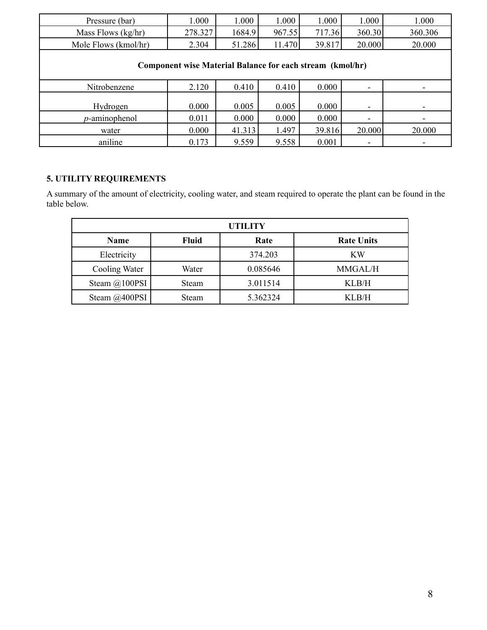| Pressure (bar)                                            | 1.000   | 1.000  | 1.000  | 1.000  | 1.000  | 1.000   |  |  |
|-----------------------------------------------------------|---------|--------|--------|--------|--------|---------|--|--|
| Mass Flows (kg/hr)                                        | 278.327 | 1684.9 | 967.55 | 717.36 | 360.30 | 360.306 |  |  |
| Mole Flows (kmol/hr)                                      | 2.304   | 51.286 | 11.470 | 39.817 | 20.000 | 20.000  |  |  |
| Component wise Material Balance for each stream (kmol/hr) |         |        |        |        |        |         |  |  |
| Nitrobenzene                                              | 2.120   | 0.410  | 0.410  | 0.000  | ۰      |         |  |  |
| Hydrogen                                                  | 0.000   | 0.005  | 0.005  | 0.000  | ٠      |         |  |  |
| $p$ -aminophenol                                          | 0.011   | 0.000  | 0.000  | 0.000  | ۰      |         |  |  |
| water                                                     | 0.000   | 41.313 | 1.497  | 39.816 | 20.000 | 20.000  |  |  |
| aniline                                                   | 0.173   | 9.559  | 9.558  | 0.001  |        |         |  |  |

# **5. UTILITY REQUIREMENTS**

A summary of the amount of electricity, cooling water, and steam required to operate the plant can be found in the table below.

| UTILITY       |              |          |                   |  |  |  |  |
|---------------|--------------|----------|-------------------|--|--|--|--|
| <b>Name</b>   | <b>Fluid</b> | Rate     | <b>Rate Units</b> |  |  |  |  |
| Electricity   |              | 374.203  | KW                |  |  |  |  |
| Cooling Water | Water        | 0.085646 | MMGAL/H           |  |  |  |  |
| Steam @100PSI | <b>Steam</b> | 3.011514 | KLB/H             |  |  |  |  |
| Steam @400PSI | <b>Steam</b> | 5.362324 | KLB/H             |  |  |  |  |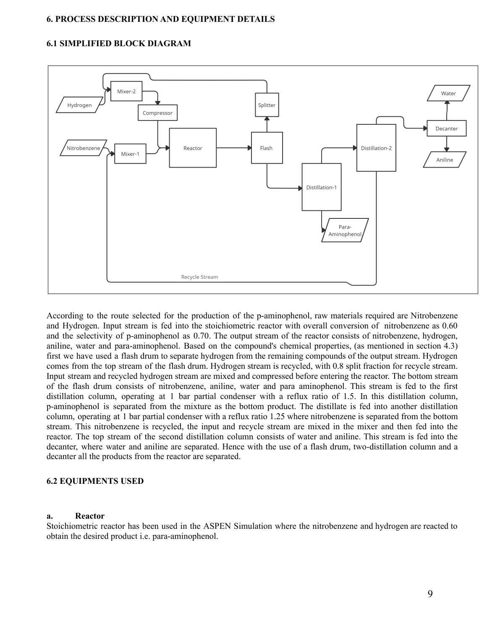#### **6. PROCESS DESCRIPTION AND EQUIPMENT DETAILS**

#### **6.1 SIMPLIFIED BLOCK DIAGRAM**



According to the route selected for the production of the p-aminophenol, raw materials required are Nitrobenzene and Hydrogen. Input stream is fed into the stoichiometric reactor with overall conversion of nitrobenzene as 0.60 and the selectivity of p-aminophenol as 0.70. The output stream of the reactor consists of nitrobenzene, hydrogen, aniline, water and para-aminophenol. Based on the compound's chemical properties, (as mentioned in section 4.3) first we have used a flash drum to separate hydrogen from the remaining compounds of the output stream. Hydrogen comes from the top stream of the flash drum. Hydrogen stream is recycled, with 0.8 split fraction for recycle stream. Input stream and recycled hydrogen stream are mixed and compressed before entering the reactor. The bottom stream of the flash drum consists of nitrobenzene, aniline, water and para aminophenol. This stream is fed to the first distillation column, operating at 1 bar partial condenser with a reflux ratio of 1.5. In this distillation column, p-aminophenol is separated from the mixture as the bottom product. The distillate is fed into another distillation column, operating at 1 bar partial condenser with a reflux ratio 1.25 where nitrobenzene is separated from the bottom stream. This nitrobenzene is recycled, the input and recycle stream are mixed in the mixer and then fed into the reactor. The top stream of the second distillation column consists of water and aniline. This stream is fed into the decanter, where water and aniline are separated. Hence with the use of a flash drum, two-distillation column and a decanter all the products from the reactor are separated.

#### **6.2 EQUIPMENTS USED**

#### **a. Reactor**

Stoichiometric reactor has been used in the ASPEN Simulation where the nitrobenzene and hydrogen are reacted to obtain the desired product i.e. para-aminophenol.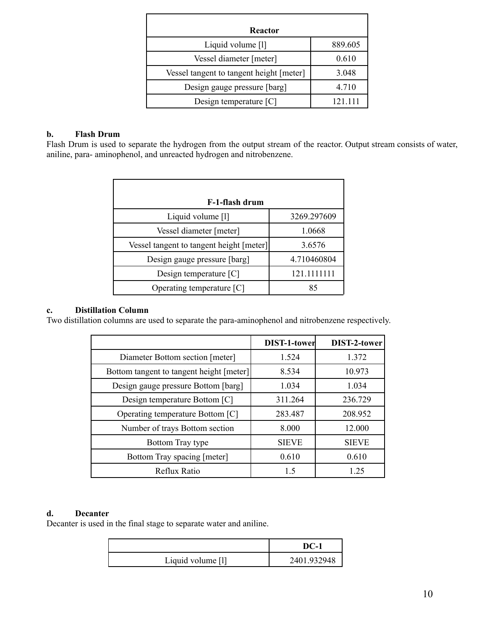| Reactor                                  |         |
|------------------------------------------|---------|
| Liquid volume [1]                        | 889.605 |
| Vessel diameter [meter]                  | 0.610   |
| Vessel tangent to tangent height [meter] | 3.048   |
| Design gauge pressure [barg]             | 4.710   |
| Design temperature [C]                   | 121.111 |

# **b. Flash Drum**

Flash Drum is used to separate the hydrogen from the output stream of the reactor. Output stream consists of water, aniline, para- aminophenol, and unreacted hydrogen and nitrobenzene.

| F-1-flash drum                           |             |
|------------------------------------------|-------------|
| Liquid volume [1]                        | 3269.297609 |
| Vessel diameter [meter]                  | 1.0668      |
| Vessel tangent to tangent height [meter] | 3.6576      |
| Design gauge pressure [barg]             | 4.710460804 |
| Design temperature [C]                   | 121.1111111 |
| Operating temperature [C]                | 85          |

### **c. Distillation Column**

Two distillation columns are used to separate the para-aminophenol and nitrobenzene respectively.

|                                          | DIST-1-tower | DIST-2-tower |
|------------------------------------------|--------------|--------------|
| Diameter Bottom section [meter]          | 1.524        | 1.372        |
| Bottom tangent to tangent height [meter] | 8.534        | 10.973       |
| Design gauge pressure Bottom [barg]      | 1.034        | 1.034        |
| Design temperature Bottom [C]            | 311.264      | 236.729      |
| Operating temperature Bottom [C]         | 283.487      | 208.952      |
| Number of trays Bottom section           | 8.000        | 12.000       |
| Bottom Tray type                         | <b>SIEVE</b> | <b>SIEVE</b> |
| Bottom Tray spacing [meter]              | 0.610        | 0.610        |
| Reflux Ratio                             | 1.5          | 1.25         |

# **d. Decanter**

Decanter is used in the final stage to separate water and aniline.

|                   | DC-1        |
|-------------------|-------------|
| Liquid volume [1] | 2401.932948 |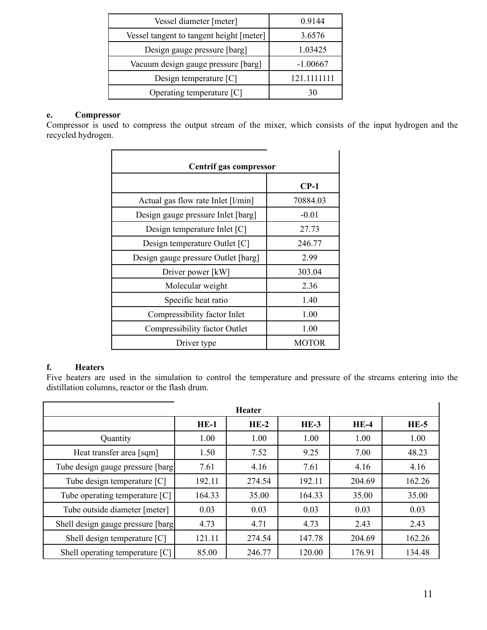| Vessel diameter [meter]                  | 0.9144      |
|------------------------------------------|-------------|
| Vessel tangent to tangent height [meter] | 3.6576      |
| Design gauge pressure [barg]             | 1.03425     |
| Vacuum design gauge pressure [barg]      | $-1.00667$  |
| Design temperature $[C]$                 | 121.1111111 |
| Operating temperature [C]                |             |

# **e. Compressor**

Compressor is used to compress the output stream of the mixer, which consists of the input hydrogen and the recycled hydrogen.

| Centrif gas compressor              |          |  |  |  |  |
|-------------------------------------|----------|--|--|--|--|
|                                     | $CP-1$   |  |  |  |  |
| Actual gas flow rate Inlet [l/min]  | 70884.03 |  |  |  |  |
| Design gauge pressure Inlet [barg]  | $-0.01$  |  |  |  |  |
| Design temperature Inlet [C]        | 27.73    |  |  |  |  |
| Design temperature Outlet [C]       | 246.77   |  |  |  |  |
| Design gauge pressure Outlet [barg] | 2.99     |  |  |  |  |
| Driver power [kW]                   | 303.04   |  |  |  |  |
| Molecular weight                    | 2.36     |  |  |  |  |
| Specific heat ratio                 | 1.40     |  |  |  |  |
| Compressibility factor Inlet        | 1.00     |  |  |  |  |
| Compressibility factor Outlet       | 1.00     |  |  |  |  |
| Driver type                         | MOTOR    |  |  |  |  |

# **f. Heaters**

Five heaters are used in the simulation to control the temperature and pressure of the streams entering into the distillation columns, reactor or the flash drum.

| <b>Heater</b>                      |        |        |        |        |        |  |  |  |
|------------------------------------|--------|--------|--------|--------|--------|--|--|--|
|                                    | $HE-1$ | $HE-2$ | $HE-3$ | $HE-4$ | $HE-5$ |  |  |  |
| Quantity                           | 1.00   | 1.00   | 1.00   | 1.00   | 1.00   |  |  |  |
| Heat transfer area [sqm]           | 1.50   | 7.52   | 9.25   | 7.00   | 48.23  |  |  |  |
| Tube design gauge pressure [barg]  | 7.61   | 4.16   | 7.61   | 4.16   | 4.16   |  |  |  |
| Tube design temperature [C]        | 192.11 | 274.54 | 192.11 | 204.69 | 162.26 |  |  |  |
| Tube operating temperature [C]     | 164.33 | 35.00  | 164.33 | 35.00  | 35.00  |  |  |  |
| Tube outside diameter [meter]      | 0.03   | 0.03   | 0.03   | 0.03   | 0.03   |  |  |  |
| Shell design gauge pressure [barg] | 4.73   | 4.71   | 4.73   | 2.43   | 2.43   |  |  |  |
| Shell design temperature [C]       | 121.11 | 274.54 | 147.78 | 204.69 | 162.26 |  |  |  |
| Shell operating temperature [C]    | 85.00  | 246.77 | 120.00 | 176.91 | 134.48 |  |  |  |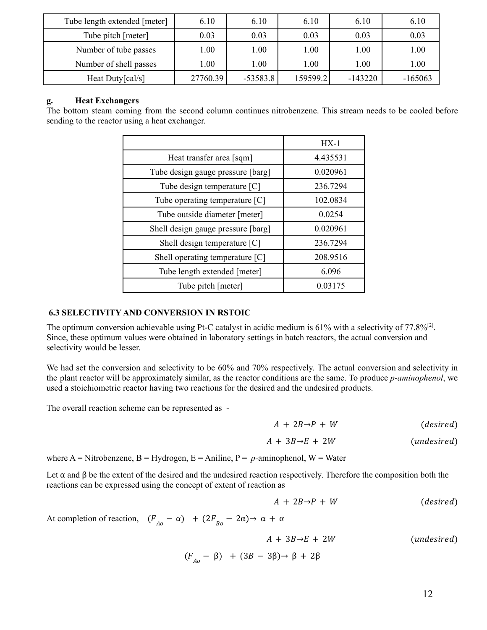| Tube length extended [meter] | 6.10     | 6.10       | 6.10     | 6.10      | 6.10      |
|------------------------------|----------|------------|----------|-----------|-----------|
| Tube pitch [meter]           | 0.03     | 0.03       | 0.03     | 0.03      | 0.03      |
| Number of tube passes        | 0.00     | $1.00\,$   | $1.00\,$ | $1.00\,$  | 1.00      |
| Number of shell passes       | 1.00     | $1.00\,$   | $1.00\,$ | $1.00\,$  | 1.00      |
| Heat Duty[cal/s]             | 27760.39 | $-53583.8$ | 159599.2 | $-143220$ | $-165063$ |

### **g. Heat Exchangers**

The bottom steam coming from the second column continues nitrobenzene. This stream needs to be cooled before sending to the reactor using a heat exchanger.

|                                    | $HX-1$   |
|------------------------------------|----------|
| Heat transfer area [sqm]           | 4.435531 |
| Tube design gauge pressure [barg]  | 0.020961 |
| Tube design temperature [C]        | 236.7294 |
| Tube operating temperature [C]     | 102.0834 |
| Tube outside diameter [meter]      | 0.0254   |
| Shell design gauge pressure [barg] | 0.020961 |
| Shell design temperature $[C]$     | 236.7294 |
| Shell operating temperature [C]    | 208.9516 |
| Tube length extended [meter]       | 6.096    |
| Tube pitch [meter]                 | 0.03175  |

### **6.3 SELECTIVITY AND CONVERSION IN RSTOIC**

The optimum conversion achievable using Pt-C catalyst in acidic medium is 61% with a selectivity of 77.8%<sup>[2]</sup>. Since, these optimum values were obtained in laboratory settings in batch reactors, the actual conversion and selectivity would be lesser.

We had set the conversion and selectivity to be 60% and 70% respectively. The actual conversion and selectivity in the plant reactor will be approximately similar, as the reactor conditions are the same. To produce *p-aminophenol*, we used a stoichiometric reactor having two reactions for the desired and the undesired products.

The overall reaction scheme can be represented as -

$$
A + 2B \rightarrow P + W \qquad (desired)
$$

$$
A + 3B \rightarrow E + 2W \qquad (undesired)
$$

where  $A = Nitrobenzene$ ,  $B = Hydrogen$ ,  $E = Aniline$ ,  $P = p-aminophenol$ ,  $W = Water$ 

Let  $\alpha$  and  $\beta$  be the extent of the desired and the undesired reaction respectively. Therefore the composition both the reactions can be expressed using the concept of extent of reaction as

 $A + 2B \rightarrow P + W$  (desired)

At completion of reaction,  $(F_{Ao} - \alpha) + (2F_{Bo} - 2\alpha) \rightarrow \alpha + \alpha$ 

 $A + 3B \rightarrow E + 2W$  (undesired)

$$
(F_{Ao} - \beta) + (3B - 3\beta) \rightarrow \beta + 2\beta
$$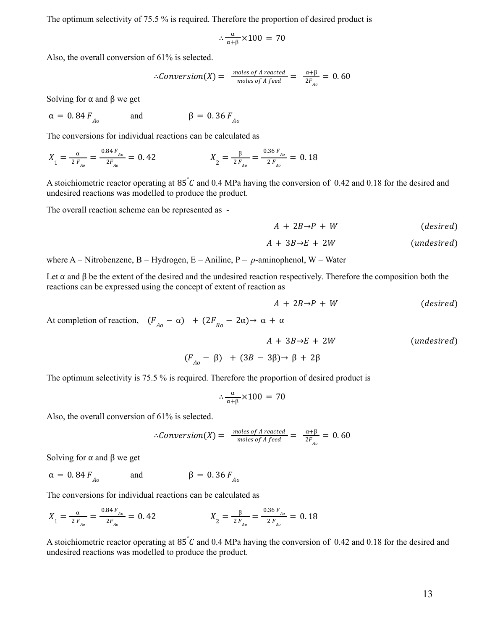The optimum selectivity of 75.5 % is required. Therefore the proportion of desired product is

$$
\therefore \frac{\alpha}{\alpha+\beta} \times 100 = 70
$$

Also, the overall conversion of 61% is selected.

$$
\therefore \text{Conversion}(X) = \frac{\text{moles of A reacted}}{\text{moles of A feed}} = \frac{\alpha + \beta}{2F_{Ao}} = 0.60
$$

Solving for  $\alpha$  and  $\beta$  we get

$$
\alpha = 0.84 F_{Ao} \qquad \text{and} \qquad \beta = 0.36 F_{Ao}
$$

The conversions for individual reactions can be calculated as

$$
X_1 = \frac{\alpha}{2F_{Ao}} = \frac{0.84 F_{Ao}}{2F_{Ao}} = 0.42 \qquad X_2 = \frac{\beta}{2F_{Ao}} = \frac{0.36 F_{Ao}}{2F_{Ao}} = 0.18
$$

A stoichiometric reactor operating at  $85^{\degree}C$  and 0.4 MPa having the conversion of 0.42 and 0.18 for the desired and undesired reactions was modelled to produce the product.

The overall reaction scheme can be represented as -

$$
A + 2B \rightarrow P + W \qquad (desired)
$$

$$
A + 3B \rightarrow E + 2W \qquad (undesired)
$$

where  $A =$  Nitrobenzene,  $B =$  Hydrogen,  $E =$  Aniline,  $P = p$ -aminophenol,  $W =$  Water

Let  $\alpha$  and  $\beta$  be the extent of the desired and the undesired reaction respectively. Therefore the composition both the reactions can be expressed using the concept of extent of reaction as

$$
A + 2B \rightarrow P + W \qquad (desired)
$$

At completion of reaction,  $(F_{Ao} - \alpha) + (2F_{Bo} - 2\alpha) \rightarrow \alpha + \alpha$ 

 $A + 3B \rightarrow E + 2W$  (undesired)  $(F_{Ao} - \beta)$  +  $(3B - 3\beta) \rightarrow \beta + 2\beta$ 

The optimum selectivity is 75.5 
$$
\%
$$
 is required. Therefore the proportion of desired product is

$$
\therefore \frac{\alpha}{\alpha+\beta} \times 100 = 70
$$

Also, the overall conversion of 61% is selected.

$$
\therefore \text{Conversion}(X) = \frac{\text{moles of A reacted}}{\text{moles of A feed}} = \frac{\alpha + \beta}{2F_{A0}} = 0.60
$$

Solving for  $\alpha$  and  $\beta$  we get

$$
\alpha = 0.84 F_{Ao} \qquad \text{and} \qquad \beta = 0.36 F_{Ao}
$$

The conversions for individual reactions can be calculated as

$$
X_{1} = \frac{\alpha}{2 F_{Ao}} = \frac{0.84 F_{Ao}}{2 F_{Ao}} = 0.42 \qquad X_{2} = \frac{\beta}{2 F_{Ao}} = \frac{0.36 F_{Ao}}{2 F_{Ao}} = 0.18
$$

A stoichiometric reactor operating at  $85\degree C$  and 0.4 MPa having the conversion of 0.42 and 0.18 for the desired and undesired reactions was modelled to produce the product.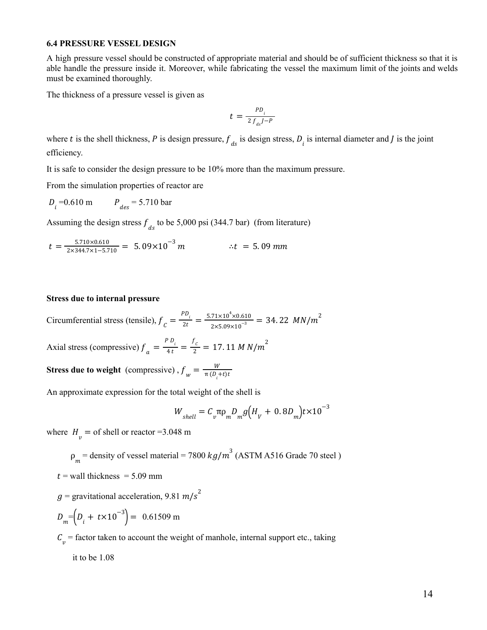#### **6.4 PRESSURE VESSEL DESIGN**

A high pressure vessel should be constructed of appropriate material and should be of sufficient thickness so that it is able handle the pressure inside it. Moreover, while fabricating the vessel the maximum limit of the joints and welds must be examined thoroughly.

The thickness of a pressure vessel is given as

$$
t = \frac{p_{D_i}}{2f_{ds}J - P}
$$

where t is the shell thickness, P is design pressure,  $f_{ds}$  is design stress,  $D_i$  is internal diameter and J is the joint efficiency.

It is safe to consider the design pressure to be 10% more than the maximum pressure.

From the simulation properties of reactor are

$$
D_i = 0.610 \text{ m}
$$
  $P_{des} = 5.710 \text{ bar}$ 

Assuming the design stress  $f_{ds}$  to be 5,000 psi (344.7 bar) (from literature)

$$
t = \frac{5.710 \times 0.610}{2 \times 344.7 \times 1 - 5.710} = 5.09 \times 10^{-3} m \qquad \therefore t = 5.09 mm
$$

#### **Stress due to internal pressure**

Circumferential stress (tensile),  $f_c = \frac{PD_i}{2t} = \frac{5.71 \times 10^4 \times 0.610}{2 \times 5.09 \times 10^{-3}}$  $\frac{71\times10^{4}\times0.610}{2\times5.09\times10^{-3}} = 34.22$  MN/m<sup>2</sup> Axial stress (compressive)  $f_a = \frac{P D_i}{4 t} = \frac{f_c}{2} = 17.11 M N/m^2$ **Stress due to weight** (compressive),  $f_w = \frac{W}{\pi (D_f + W)}$  $\pi (D_i + t)t$ 

An approximate expression for the total weight of the shell is

$$
W_{shell} = C_v \pi \rho_m D_m g \left( H_V + 0.8 D_m \right) t \times 10^{-3}
$$

where  $H_v =$  of shell or reactor =3.048 m

$$
\rho_m = \text{density of vessel material} = 7800 \, kg/m^3 \, (\text{ASTM A516 Grade 70 steel})
$$

- $t$  = wall thickness = 5.09 mm
- $g =$  gravitational acceleration, 9.81  $m/s^2$

$$
D_m = (D_i + t \times 10^{-3}) = 0.61509 \text{ m}
$$

 $C_v$  = factor taken to account the weight of manhole, internal support etc., taking

it to be 1.08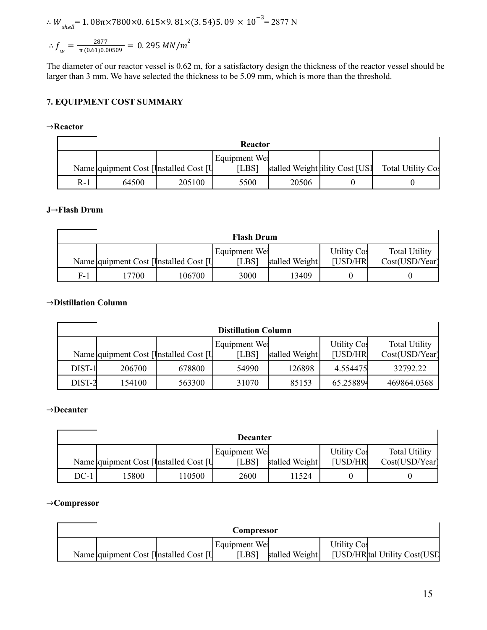∴  $W_{shell}$  = 1.08 $\pi$ ×7800×0.615×9.81×(3.54)5.09 × 10<sup>-3</sup> = 2877 N

$$
\therefore f_{w} = \frac{2877}{\pi (0.61) 0.00509} = 0.295 \, MN/m^{2}
$$

The diameter of our reactor vessel is 0.62 m, for a satisfactory design the thickness of the reactor vessel should be larger than 3 mm. We have selected the thickness to be 5.09 mm, which is more than the threshold.

# **7. EQUIPMENT COST SUMMARY**

### →**Reactor**

|       | Reactor                                |        |               |       |                                |                   |  |
|-------|----------------------------------------|--------|---------------|-------|--------------------------------|-------------------|--|
|       |                                        |        | Equipment Wei |       |                                |                   |  |
|       | Name quipment Cost [Installed Cost [U] |        | [LBS]         |       | stalled Weight ility Cost [USI | Total Utility Cos |  |
| $R-1$ | 64500                                  | 205100 | 5500          | 20506 |                                |                   |  |

### **J**→**Flash Drum**

|     | <b>Flash Drum</b>                      |        |               |                |             |                      |  |  |
|-----|----------------------------------------|--------|---------------|----------------|-------------|----------------------|--|--|
|     |                                        |        | Equipment Wei |                | Utility Cos | <b>Total Utility</b> |  |  |
|     | Name quipment Cost [Installed Cost [U] |        | [LBS]         | stalled Weight | [USD/HR]    | Cost(USD/Year)       |  |  |
| F-1 | 7700                                   | 106700 | 3000          | 13409          |             |                      |  |  |

# →**Distillation Column**

| <b>Distillation Column</b> |                                          |        |       |                    |                      |                |  |  |
|----------------------------|------------------------------------------|--------|-------|--------------------|----------------------|----------------|--|--|
| Equipment Wel              |                                          |        |       | <b>Utility Cos</b> | <b>Total Utility</b> |                |  |  |
|                            | Name   quipment Cost [Installed Cost [U] |        | [LBS] | stalled Weight     | [USD/HR]             | Cost(USD/Year) |  |  |
| DIST-1                     | 206700                                   | 678800 | 54990 | 126898             | 4.554475             | 32792.22       |  |  |
| DIST-2                     | 154100                                   | 563300 | 31070 | 85153              | 65.258894            | 469864.0368    |  |  |

#### →**Decanter**

|      | <b>Decanter</b>                          |        |                        |                |                         |                                        |  |
|------|------------------------------------------|--------|------------------------|----------------|-------------------------|----------------------------------------|--|
|      | Name   quipment Cost [Installed Cost [U] |        | Equipment Wei<br>[LBS] | stalled Weight | Utility Cos<br>[USD/HR] | <b>Total Utility</b><br>Cost(USD/Year) |  |
| DC-1 | 5800                                     | 110500 | 2600                   | 11524          |                         |                                        |  |

### →**Compressor**

| Compressor |                                        |  |               |                |                    |                              |
|------------|----------------------------------------|--|---------------|----------------|--------------------|------------------------------|
|            |                                        |  | Equipment Wel |                | <b>Utility Cos</b> |                              |
|            | Name quipment Cost [Installed Cost [U] |  | ILBS1         | stalled Weight |                    | [USD/HR tal Utility Cost(USD |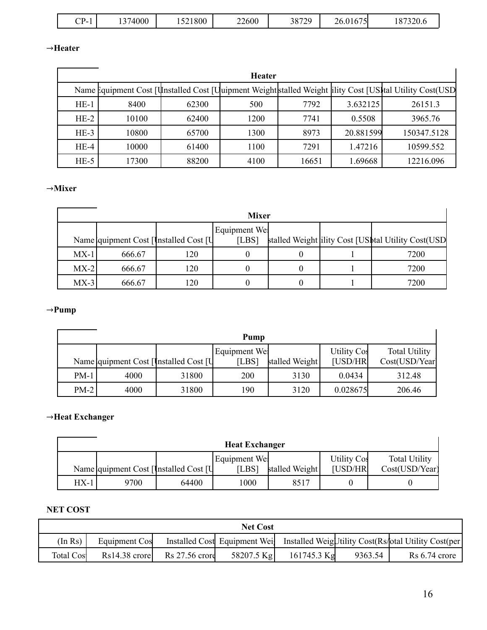| $\cap$ n<br>۰.<br>◡ | 4000<br>$\sim$ $\sim$<br>. . <i>. .</i> | 1800<br>⊥ J <i>⊟</i> | 22600 | 38729<br>20 I<br>∼ | 26.0167<br>ال ، | 0.7330<br>240.0 |
|---------------------|-----------------------------------------|----------------------|-------|--------------------|-----------------|-----------------|
|                     |                                         |                      |       |                    |                 |                 |

# →**Heater**

| <b>Heater</b> |       |       |      |       |           |                                                                                                            |  |  |
|---------------|-------|-------|------|-------|-----------|------------------------------------------------------------------------------------------------------------|--|--|
|               |       |       |      |       |           | Name Equipment Cost [Unstalled Cost [Unipment Weight stalled Weight  ility Cost [US] tal Utility Cost (USD |  |  |
| $HE-1$        | 8400  | 62300 | 500  | 7792  | 3.632125  | 26151.3                                                                                                    |  |  |
| $HE-2$        | 10100 | 62400 | 1200 | 7741  | 0.5508    | 3965.76                                                                                                    |  |  |
| $HE-3$        | 10800 | 65700 | 1300 | 8973  | 20.881599 | 150347.5128                                                                                                |  |  |
| $HE-4$        | 10000 | 61400 | 1100 | 7291  | 1.47216   | 10599.552                                                                                                  |  |  |
| $HE-5$        | 17300 | 88200 | 4100 | 16651 | 1.69668   | 12216.096                                                                                                  |  |  |

# →**Mixer**

| <b>Mixer</b> |                                        |     |               |  |  |                                                   |  |
|--------------|----------------------------------------|-----|---------------|--|--|---------------------------------------------------|--|
|              |                                        |     | Equipment Wel |  |  |                                                   |  |
|              | Name quipment Cost [Installed Cost [U] |     | [LBS]         |  |  | stalled Weight ility Cost [UStal Utility Cost(USD |  |
| $MX-1$       | 666.67                                 | 120 |               |  |  | 7200                                              |  |
| $MX-2$       | 666.67                                 | 120 |               |  |  | 7200                                              |  |
| $MX-3$       | 666.67                                 | 120 |               |  |  | 7200                                              |  |

# →**Pump**

| Pump   |                                        |       |               |                    |                      |                |  |  |
|--------|----------------------------------------|-------|---------------|--------------------|----------------------|----------------|--|--|
|        |                                        |       | Equipment Wel | <b>Utility Cos</b> | <b>Total Utility</b> |                |  |  |
|        | Name quipment Cost [Installed Cost [U] |       | [LBS]         | stalled Weight     | [USD/HR]             | Cost(USD/Year) |  |  |
| $PM-1$ | 4000                                   | 31800 | 200           | 3130               | 0.0434               | 312.48         |  |  |
| $PM-2$ | 4000                                   | 31800 | 190           | 3120               | 0.028675             | 206.46         |  |  |

# →**Heat Exchanger**

| <b>Heat Exchanger</b> |                                        |       |                        |                |                         |                                        |  |  |
|-----------------------|----------------------------------------|-------|------------------------|----------------|-------------------------|----------------------------------------|--|--|
|                       | Name quipment Cost [Installed Cost [U] |       | Equipment Wei<br>[LBS] | stalled Weight | Utility Cos<br>[USD/HR] | <b>Total Utility</b><br>Cost(USD/Year) |  |  |
| HX-1                  | 9700                                   | 64400 | 1000                   | 8517           |                         |                                        |  |  |

# **NET COST**

| <b>Net Cost</b> |                 |                  |                              |             |         |                                                         |  |
|-----------------|-----------------|------------------|------------------------------|-------------|---------|---------------------------------------------------------|--|
| (In Rs)         | Equipment Cos   |                  | Installed Cost Equipment Wei |             |         | Installed Weigl Utility Cost (Rs/otal Utility Cost (per |  |
| Total Cos       | $Rs14.38$ crore | $Rs$ 27.56 crore | 58207.5 Kg                   | 161745.3 Kg | 9363.54 | Rs 6.74 crore                                           |  |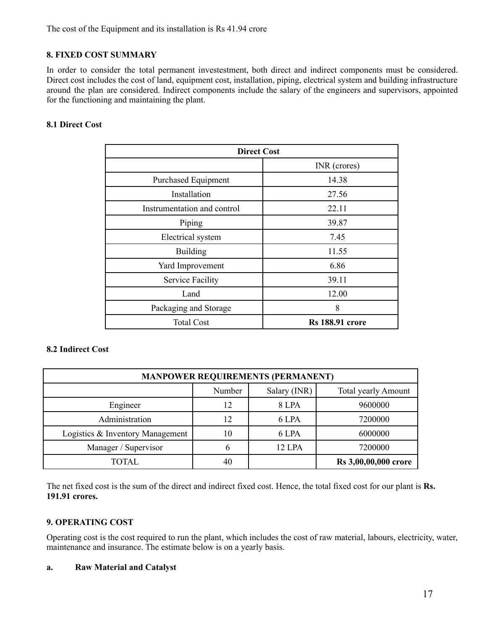The cost of the Equipment and its installation is Rs 41.94 crore

# **8. FIXED COST SUMMARY**

In order to consider the total permanent investestment, both direct and indirect components must be considered. Direct cost includes the cost of land, equipment cost, installation, piping, electrical system and building infrastructure around the plan are considered. Indirect components include the salary of the engineers and supervisors, appointed for the functioning and maintaining the plant.

### **8.1 Direct Cost**

| <b>Direct Cost</b>          |                        |  |  |  |
|-----------------------------|------------------------|--|--|--|
|                             | INR (crores)           |  |  |  |
| <b>Purchased Equipment</b>  | 14.38                  |  |  |  |
| Installation                | 27.56                  |  |  |  |
| Instrumentation and control | 22.11                  |  |  |  |
| Piping                      | 39.87                  |  |  |  |
| Electrical system           | 7.45                   |  |  |  |
| <b>Building</b>             | 11.55                  |  |  |  |
| Yard Improvement            | 6.86                   |  |  |  |
| <b>Service Facility</b>     | 39.11                  |  |  |  |
| Land                        | 12.00                  |  |  |  |
| Packaging and Storage       | 8                      |  |  |  |
| <b>Total Cost</b>           | <b>Rs</b> 188.91 crore |  |  |  |

### **8.2 Indirect Cost**

| <b>MANPOWER REQUIREMENTS (PERMANENT)</b> |        |              |                            |  |  |  |
|------------------------------------------|--------|--------------|----------------------------|--|--|--|
|                                          | Number | Salary (INR) | <b>Total yearly Amount</b> |  |  |  |
| Engineer                                 | 12     | 8 LPA        | 9600000                    |  |  |  |
| Administration                           | 12     | 6 LPA        | 7200000                    |  |  |  |
| Logistics & Inventory Management         | 10     | 6 LPA        | 6000000                    |  |  |  |
| Manager / Supervisor                     | 6      | 12 LPA       | 7200000                    |  |  |  |
| TOTAL                                    | 40     |              | Rs 3,00,00,000 crore       |  |  |  |

The net fixed cost is the sum of the direct and indirect fixed cost. Hence, the total fixed cost for our plant is **Rs. 191.91 crores.**

# **9. OPERATING COST**

Operating cost is the cost required to run the plant, which includes the cost of raw material, labours, electricity, water, maintenance and insurance. The estimate below is on a yearly basis.

### **a. Raw Material and Catalyst**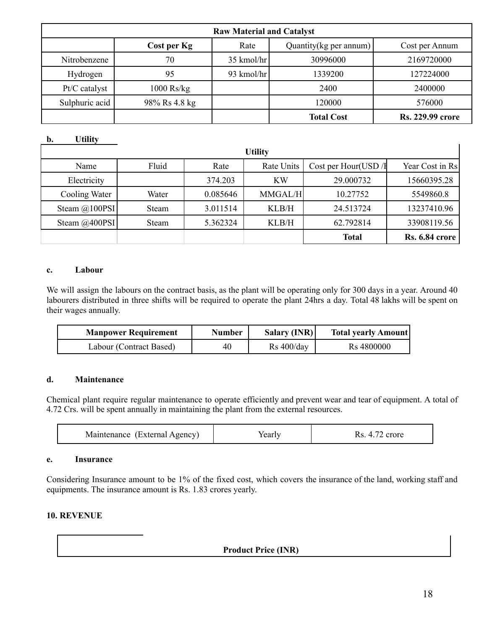| <b>Raw Material and Catalyst</b>                                 |               |            |                   |                         |  |  |  |
|------------------------------------------------------------------|---------------|------------|-------------------|-------------------------|--|--|--|
| Quantity (kg per annum)<br>Cost per Annum<br>Cost per Kg<br>Rate |               |            |                   |                         |  |  |  |
| Nitrobenzene                                                     | 70            | 35 kmol/hr | 30996000          | 2169720000              |  |  |  |
| Hydrogen                                                         | 95            | 93 kmol/hr | 1339200           | 127224000               |  |  |  |
| Pt/C catalyst                                                    | $1000$ Rs/kg  |            | 2400              | 2400000                 |  |  |  |
| Sulphuric acid                                                   | 98% Rs 4.8 kg |            | 120000            | 576000                  |  |  |  |
|                                                                  |               |            | <b>Total Cost</b> | <b>Rs. 229.99 crore</b> |  |  |  |

### **b. Utility**

| <b>Utility</b>     |              |          |            |                                    |                       |  |  |
|--------------------|--------------|----------|------------|------------------------------------|-----------------------|--|--|
| Name               | Fluid        | Rate     | Rate Units | Cost per Hour(USD / $\overline{H}$ | Year Cost in Rs       |  |  |
| Electricity        |              | 374.203  | <b>KW</b>  | 29.000732                          | 15660395.28           |  |  |
| Cooling Water      | Water        | 0.085646 | MMGAL/H    | 10.27752                           | 5549860.8             |  |  |
| Steam $(a)$ 100PSI | <b>Steam</b> | 3.011514 | KLB/H      | 24.513724                          | 13237410.96           |  |  |
| Steam $@400PSI$    | <b>Steam</b> | 5.362324 | KLB/H      | 62.792814                          | 33908119.56           |  |  |
|                    |              |          |            | <b>Total</b>                       | <b>Rs. 6.84 crore</b> |  |  |

### **c. Labour**

We will assign the labours on the contract basis, as the plant will be operating only for 300 days in a year. Around 40 labourers distributed in three shifts will be required to operate the plant 24hrs a day. Total 48 lakhs will be spent on their wages annually.

| <b>Manpower Requirement</b> | <b>Number</b> | <b>Salary (INR)</b> | <b>Total yearly Amount</b> |
|-----------------------------|---------------|---------------------|----------------------------|
| Labour (Contract Based)     | 40            | $Rs\ 400/day$       | R <sub>s</sub> 4800000     |

### **d. Maintenance**

Chemical plant require regular maintenance to operate efficiently and prevent wear and tear of equipment. A total of 4.72 Crs. will be spent annually in maintaining the plant from the external resources.

| External<br>Agency<br>Maintenance<br>. <b>.</b> . | earl' | KS.<br>∙rore |
|---------------------------------------------------|-------|--------------|
|---------------------------------------------------|-------|--------------|

### **e. Insurance**

Considering Insurance amount to be 1% of the fixed cost, which covers the insurance of the land, working staff and equipments. The insurance amount is Rs. 1.83 crores yearly.

### **10. REVENUE**

**Product Price (INR)**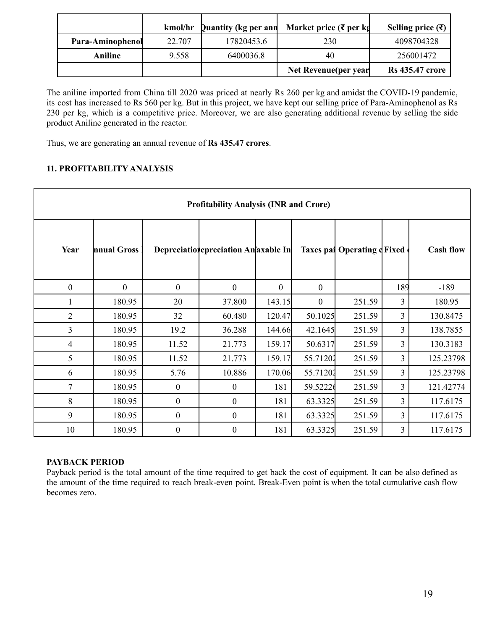|                  | kmol/hr | Quantity (kg per ann | Market price $(\bar{\xi})$ per kg | Selling price $(\bar{\tau})$ |
|------------------|---------|----------------------|-----------------------------------|------------------------------|
| Para-Aminophenol | 22.707  | 17820453.6           | 230                               | 4098704328                   |
| Aniline          | 9.558   | 6400036.8            | 40                                | 256001472                    |
|                  |         |                      | Net Revenue(per year              | <b>Rs</b> 435.47 crore       |

The aniline imported from China till 2020 was priced at nearly Rs 260 per kg and amidst the COVID-19 pandemic, its cost has increased to Rs 560 per kg. But in this project, we have kept our selling price of Para-Aminophenol as Rs 230 per kg, which is a competitive price. Moreover, we are also generating additional revenue by selling the side product Aniline generated in the reactor.

Thus, we are generating an annual revenue of **Rs 435.47 crores**.

# **11. PROFITABILITY ANALYSIS**

| <b>Profitability Analysis (INR and Crore)</b> |              |                  |                                     |              |              |                            |                |                  |  |
|-----------------------------------------------|--------------|------------------|-------------------------------------|--------------|--------------|----------------------------|----------------|------------------|--|
| Year                                          | nnual Gross  |                  | Depreciatio epreciation Amaxable In |              |              | Taxes pal Operating dFixed |                | <b>Cash flow</b> |  |
| $\boldsymbol{0}$                              | $\mathbf{0}$ | $\mathbf{0}$     | $\boldsymbol{0}$                    | $\mathbf{0}$ | $\theta$     |                            | 189            | $-189$           |  |
|                                               | 180.95       | 20               | 37.800                              | 143.15       | $\mathbf{0}$ | 251.59                     | $\overline{3}$ | 180.95           |  |
| $\overline{2}$                                | 180.95       | 32               | 60.480                              | 120.47       | 50.1025      | 251.59                     | 3              | 130.8475         |  |
| 3                                             | 180.95       | 19.2             | 36.288                              | 144.66       | 42.1645      | 251.59                     | 3              | 138.7855         |  |
| 4                                             | 180.95       | 11.52            | 21.773                              | 159.17       | 50.6317      | 251.59                     | $\overline{3}$ | 130.3183         |  |
| 5                                             | 180.95       | 11.52            | 21.773                              | 159.17       | 55.71202     | 251.59                     | 3              | 125.23798        |  |
| 6                                             | 180.95       | 5.76             | 10.886                              | 170.06       | 55.71202     | 251.59                     | 3              | 125.23798        |  |
| 7                                             | 180.95       | $\boldsymbol{0}$ | $\boldsymbol{0}$                    | 181          | 59.52226     | 251.59                     | 3              | 121.42774        |  |
| 8                                             | 180.95       | $\boldsymbol{0}$ | $\boldsymbol{0}$                    | 181          | 63.3325      | 251.59                     | 3              | 117.6175         |  |
| 9                                             | 180.95       | $\boldsymbol{0}$ | $\boldsymbol{0}$                    | 181          | 63.3325      | 251.59                     | 3              | 117.6175         |  |
| 10                                            | 180.95       | $\boldsymbol{0}$ | $\boldsymbol{0}$                    | 181          | 63.3325      | 251.59                     | 3              | 117.6175         |  |

# **PAYBACK PERIOD**

Payback period is the total amount of the time required to get back the cost of equipment. It can be also defined as the amount of the time required to reach break-even point. Break-Even point is when the total cumulative cash flow becomes zero.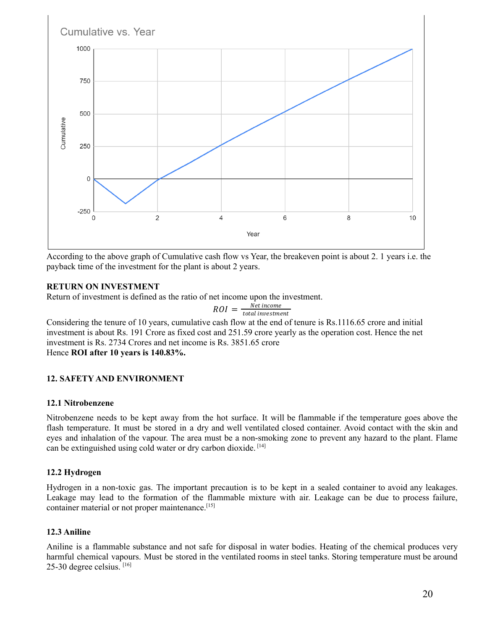

According to the above graph of Cumulative cash flow vs Year, the breakeven point is about 2. 1 years i.e. the payback time of the investment for the plant is about 2 years.

### **RETURN ON INVESTMENT**

Return of investment is defined as the ratio of net income upon the investment.

$$
ROI = \frac{Net\ income}{total\ investment}
$$

Considering the tenure of 10 years, cumulative cash flow at the end of tenure is Rs.1116.65 crore and initial investment is about Rs. 191 Crore as fixed cost and 251.59 crore yearly as the operation cost. Hence the net investment is Rs. 2734 Crores and net income is Rs. 3851.65 crore Hence **ROI after 10 years is 140.83%.**

# **12. SAFETY AND ENVIRONMENT**

### **12.1 Nitrobenzene**

Nitrobenzene needs to be kept away from the hot surface. It will be flammable if the temperature goes above the flash temperature. It must be stored in a dry and well ventilated closed container. Avoid contact with the skin and eyes and inhalation of the vapour. The area must be a non-smoking zone to prevent any hazard to the plant. Flame can be extinguished using cold water or dry carbon dioxide.<sup>[14]</sup>

### **12.2 Hydrogen**

Hydrogen in a non-toxic gas. The important precaution is to be kept in a sealed container to avoid any leakages. Leakage may lead to the formation of the flammable mixture with air. Leakage can be due to process failure, container material or not proper maintenance.<sup>[15]</sup>

### **12.3 Aniline**

Aniline is a flammable substance and not safe for disposal in water bodies. Heating of the chemical produces very harmful chemical vapours. Must be stored in the ventilated rooms in steel tanks. Storing temperature must be around 25-30 degree celsius. [16]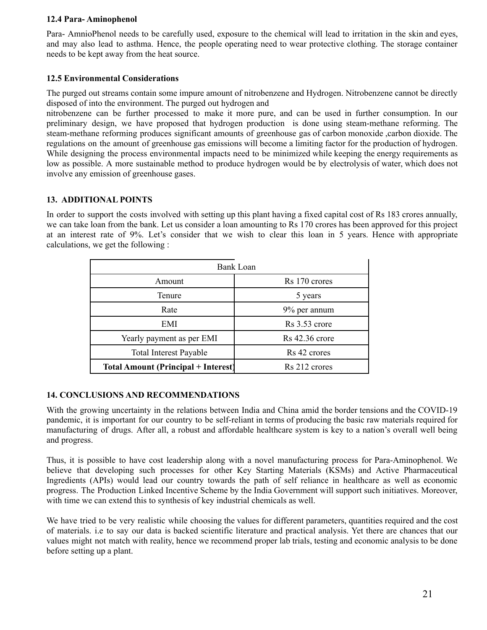### **12.4 Para- Aminophenol**

Para- AmnioPhenol needs to be carefully used, exposure to the chemical will lead to irritation in the skin and eyes, and may also lead to asthma. Hence, the people operating need to wear protective clothing. The storage container needs to be kept away from the heat source.

### **12.5 Environmental Considerations**

The purged out streams contain some impure amount of nitrobenzene and Hydrogen. Nitrobenzene cannot be directly disposed of into the environment. The purged out hydrogen and

nitrobenzene can be further processed to make it more pure, and can be used in further consumption. In our preliminary design, we have proposed that hydrogen production is done using steam-methane reforming. The steam-methane reforming produces significant amounts of greenhouse gas of carbon monoxide ,carbon dioxide. The regulations on the amount of greenhouse gas emissions will become a limiting factor for the production of hydrogen. While designing the process environmental impacts need to be minimized while keeping the energy requirements as low as possible. A more sustainable method to produce hydrogen would be by electrolysis of water, which does not involve any emission of greenhouse gases.

# **13. ADDITIONAL POINTS**

In order to support the costs involved with setting up this plant having a fixed capital cost of Rs 183 crores annually, we can take loan from the bank. Let us consider a loan amounting to Rs 170 crores has been approved for this project at an interest rate of 9%. Let's consider that we wish to clear this loan in 5 years. Hence with appropriate calculations, we get the following :

| <b>Bank Loan</b>                           |                  |  |  |  |  |
|--------------------------------------------|------------------|--|--|--|--|
| Amount                                     | Rs 170 crores    |  |  |  |  |
| Tenure                                     | 5 years          |  |  |  |  |
| Rate                                       | 9% per annum     |  |  |  |  |
| EMI                                        | Rs 3.53 crore    |  |  |  |  |
| Yearly payment as per EMI                  | $Rs$ 42.36 crore |  |  |  |  |
| <b>Total Interest Payable</b>              | Rs 42 crores     |  |  |  |  |
| <b>Total Amount (Principal + Interest)</b> | Rs 212 crores    |  |  |  |  |

# **14. CONCLUSIONS AND RECOMMENDATIONS**

With the growing uncertainty in the relations between India and China amid the border tensions and the COVID-19 pandemic, it is important for our country to be self-reliant in terms of producing the basic raw materials required for manufacturing of drugs. After all, a robust and affordable healthcare system is key to a nation's overall well being and progress.

Thus, it is possible to have cost leadership along with a novel manufacturing process for Para-Aminophenol. We believe that developing such processes for other Key Starting Materials (KSMs) and Active Pharmaceutical Ingredients (APIs) would lead our country towards the path of self reliance in healthcare as well as economic progress. The Production Linked Incentive Scheme by the India Government will support such initiatives. Moreover, with time we can extend this to synthesis of key industrial chemicals as well.

We have tried to be very realistic while choosing the values for different parameters, quantities required and the cost of materials. i.e to say our data is backed scientific literature and practical analysis. Yet there are chances that our values might not match with reality, hence we recommend proper lab trials, testing and economic analysis to be done before setting up a plant.